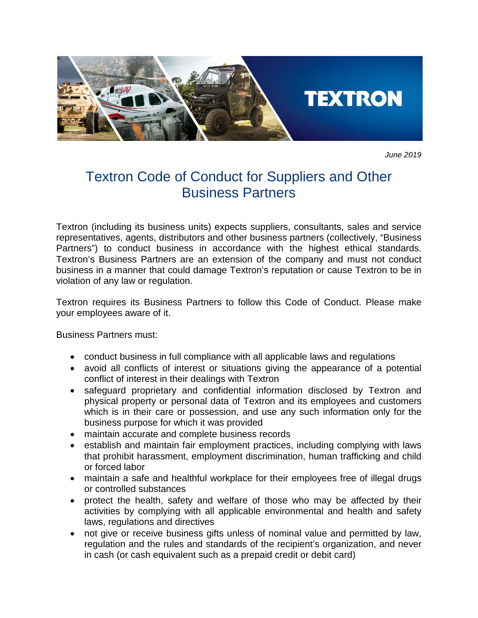

*June 2019*

## Textron Code of Conduct for Suppliers and Other Business Partners

Textron (including its business units) expects suppliers, consultants, sales and service representatives, agents, distributors and other business partners (collectively, "Business Partners") to conduct business in accordance with the highest ethical standards. Textron's Business Partners are an extension of the company and must not conduct business in a manner that could damage Textron's reputation or cause Textron to be in violation of any law or regulation.

Textron requires its Business Partners to follow this Code of Conduct. Please make your employees aware of it.

Business Partners must:

- conduct business in full compliance with all applicable laws and regulations
- avoid all conflicts of interest or situations giving the appearance of a potential conflict of interest in their dealings with Textron
- safeguard proprietary and confidential information disclosed by Textron and physical property or personal data of Textron and its employees and customers which is in their care or possession, and use any such information only for the business purpose for which it was provided
- maintain accurate and complete business records
- establish and maintain fair employment practices, including complying with laws that prohibit harassment, employment discrimination, human trafficking and child or forced labor
- maintain a safe and healthful workplace for their employees free of illegal drugs or controlled substances
- protect the health, safety and welfare of those who may be affected by their activities by complying with all applicable environmental and health and safety laws, regulations and directives
- not give or receive business gifts unless of nominal value and permitted by law, regulation and the rules and standards of the recipient's organization, and never in cash (or cash equivalent such as a prepaid credit or debit card)